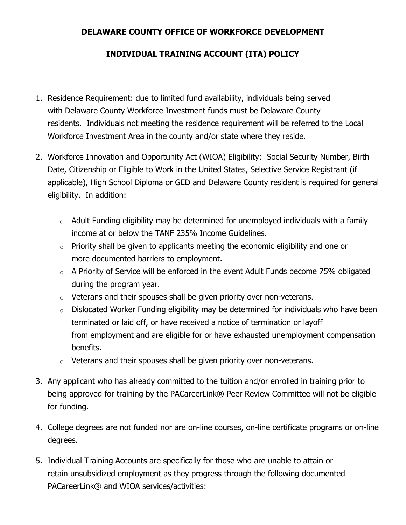## **DELAWARE COUNTY OFFICE OF WORKFORCE DEVELOPMENT**

## **INDIVIDUAL TRAINING ACCOUNT (ITA) POLICY**

- 1. Residence Requirement: due to limited fund availability, individuals being served with Delaware County Workforce Investment funds must be Delaware County residents. Individuals not meeting the residence requirement will be referred to the Local Workforce Investment Area in the county and/or state where they reside.
- 2. Workforce Innovation and Opportunity Act (WIOA) Eligibility: Social Security Number, Birth Date, Citizenship or Eligible to Work in the United States, Selective Service Registrant (if applicable), High School Diploma or GED and Delaware County resident is required for general eligibility. In addition:
	- $\circ$  Adult Funding eligibility may be determined for unemployed individuals with a family income at or below the TANF 235% Income Guidelines.
	- $\circ$  Priority shall be given to applicants meeting the economic eligibility and one or more documented barriers to employment.
	- $\circ$  A Priority of Service will be enforced in the event Adult Funds become 75% obligated during the program year.
	- $\circ$  Veterans and their spouses shall be given priority over non-veterans.
	- $\circ$  Dislocated Worker Funding eligibility may be determined for individuals who have been terminated or laid off, or have received a notice of termination or layoff from employment and are eligible for or have exhausted unemployment compensation benefits.
	- $\circ$  Veterans and their spouses shall be given priority over non-veterans.
- 3. Any applicant who has already committed to the tuition and/or enrolled in training prior to being approved for training by the PACareerLink® Peer Review Committee will not be eligible for funding.
- 4. College degrees are not funded nor are on-line courses, on-line certificate programs or on-line degrees.
- 5. Individual Training Accounts are specifically for those who are unable to attain or retain unsubsidized employment as they progress through the following documented PACareerLink® and WIOA services/activities: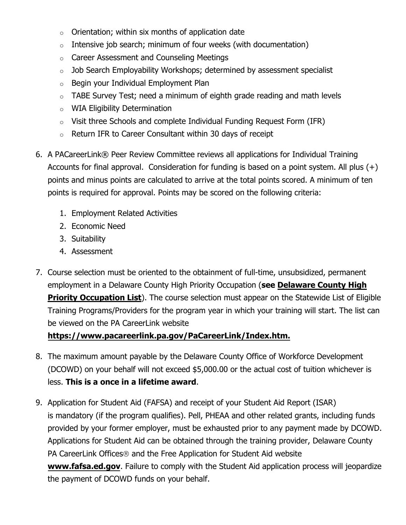- $\circ$  Orientation; within six months of application date
- $\circ$  Intensive job search; minimum of four weeks (with documentation)
- o Career Assessment and Counseling Meetings
- o Job Search Employability Workshops; determined by assessment specialist
- o Begin your Individual Employment Plan
- $\circ$  TABE Survey Test; need a minimum of eighth grade reading and math levels
- o WIA Eligibility Determination
- o Visit three Schools and complete Individual Funding Request Form (IFR)
- $\circ$  Return IFR to Career Consultant within 30 days of receipt
- 6. A PACareerLink® Peer Review Committee reviews all applications for Individual Training Accounts for final approval. Consideration for funding is based on a point system. All plus  $(+)$ points and minus points are calculated to arrive at the total points scored. A minimum of ten points is required for approval. Points may be scored on the following criteria:
	- 1. Employment Related Activities
	- 2. Economic Need
	- 3. Suitability
	- 4. Assessment
- 7. Course selection must be oriented to the obtainment of full-time, unsubsidized, permanent employment in a Delaware County High Priority Occupation (**see Delaware County High Priority Occupation List**). The course selection must appear on the Statewide List of Eligible Training Programs/Providers for the program year in which your training will start. The list can be viewed on the PA CareerLink website

## **https://www.pacareerlink.pa.gov/PaCareerLink/Index.htm.**

- 8. The maximum amount payable by the Delaware County Office of Workforce Development (DCOWD) on your behalf will not exceed \$5,000.00 or the actual cost of tuition whichever is less. **This is a once in a lifetime award**.
- 9. Application for Student Aid (FAFSA) and receipt of your Student Aid Report (ISAR) is mandatory (if the program qualifies). Pell, PHEAA and other related grants, including funds provided by your former employer, must be exhausted prior to any payment made by DCOWD. Applications for Student Aid can be obtained through the training provider, Delaware County PA CareerLink Offices<sup>®</sup> and the Free Application for Student Aid website **www.fafsa.ed.gov**. Failure to comply with the Student Aid application process will jeopardize the payment of DCOWD funds on your behalf.